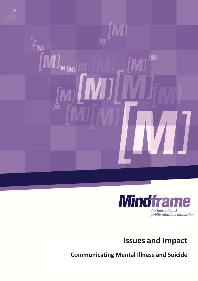



**Issues and Impact** 

**Communicating Mental Illness and Suicide**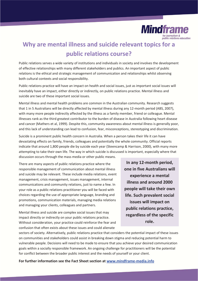

# **Why are mental illness and suicide relevant topics for a public relations course?**

Public relations serves a wide variety of institutions and individuals in society and involves the development of effective relationships with many different stakeholders and publics. An important aspect of public relations is the ethical and strategic management of communication and relationships whilst observing both cultural contexts and social responsibility.

Public relations practice will have an impact on health and social issues, just as important social issues will inevitably have an impact, either directly or indirectly, on public relations practice. Mental illness and suicide are two of these important social issues.

Mental illness and mental health problems are common in the Australian community. Research suggests that 1 in 5 Australians will be directly affected by mental illness during any 12-month period (ABS, 2007), with many more people indirectly affected by the illness as a family member, friend or colleague. Mental illnesses rank as the third greatest contributor to the burden of disease in Australia following heart disease and cancer (Mathers et al, 1999). Despite this, community awareness about mental illness is generally poor, and this lack of understanding can lead to confusion, fear, misconceptions, stereotyping and discrimination.

Suicide is a prominent public health concern in Australia. When a person takes their life it can have devastating effects on family, friends, colleagues and potentially the whole community. Official reports indicate that around 1,800 people die by suicide each year (Steencamp & Harrison, 2000), with many more attempting to take their own life. The way in which suicide is discussed is important, especially where that discussion occurs through the mass media or other public means.

There are many aspects of public relations practice where the responsible management of communication about mental illness and suicide may be relevant. These include media relations, event management, crisis management, issues management, internal communications and community relations, just to name a few. In your role as a public relations practitioner you will be faced with choices regarding the use of appropriate language, branding and promotions, communication materials, managing media relations and managing your clients, colleagues and partners.

Mental illness and suicide are complex social issues that may impact directly or indirectly on your public relations practice. Without consideration, your practice could reinforce the fear and confusion that often exists about these issues and could alienate

**In any 12-month period, one in five Australians will experience a mental illness and around 2000 people will take their own life. Such prevalent social issues will impact on public relations practice, regardless of the specific role.** 

sectors of society. Alternatively, public relations practice that considers the potential impact of these issues on communities and stakeholders could assist in breaking down stigma and reducing potential harm to vulnerable people. Decisions will need to be made to ensure that you achieve your desired communication goals within a socially responsible framework. An ongoing challenge for practitioners will be the potential for conflict between the broader public interest and the needs of yourself or your client.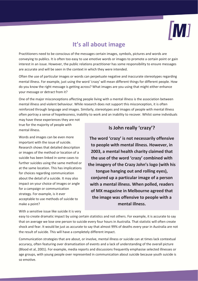

# **It's all about image**

Practitioners need to be conscious of the messages certain images, symbols, pictures and words are conveying to publics. It is often too easy to use emotive words or images to promote a certain point or gain interest in an issue. However, the public relations practitioner has some responsibility to ensure messages are accurate and will be seen in the context in which they were intended.

Often the use of particular images or words can perpetuate negative and inaccurate stereotypes regarding mental illness. For example, just using the word 'crazy' will mean different things for different people. How do you know the right message is getting across? What images are you using that might either enhance your message or detract from it?

One of the major misconceptions affecting people living with a mental illness is the association between mental illness and violent behaviour. While research does not support this misconception, it is often reinforced through language and images. Similarly, stereotypes and images of people with mental illness often portray a sense of hopelessness, inability to work and an inability to recover. Whilst some individuals may have these experiences they are not

true for the majority of people with mental illness.

Words and images can be even more important with the issue of suicide. Research shows that detailed description or images of the method or location of a suicide has been linked in some cases to further suicides using the same method or at the same location. This has implications for choices regarding communication about the detail of a suicide. It may also impact on your choice of images or angle for a campaign or communication strategy. For example, is it ever acceptable to use methods of suicide to make a point?

### **Is John really 'crazy'?**

**The word 'crazy' is not necessarily offensive to people with mental illness. However, in 2003, a mental health charity claimed that the use of the word 'crazy' combined with the imagery of the Crazy John's logo (with his tongue hanging out and rolling eyes), conjured up a particular image of a person with a mental illness. When polled, readers of MX magazine in Melbourne agreed that the image was offensive to people with a mental illness.** 

With a sensitive issue like suicide it is very

easy to create dramatic impact by using certain statistics and not others. For example, it is accurate to say that on average we lose one person to suicide every four hours in Australia. That statistic will often create shock and fear. It would be just as accurate to say that almost 99% of deaths every year in Australia are not the result of suicide. This will have a completely different impact.

Communication strategies that are about, or involve, mental illness or suicide can at times lack contextual accuracy, often featuring over dramatisation of events and a lack of understanding of the overall picture (Blood et al, 2001). For example, media reports and discussions frequently emphasise selected illnesses or age groups, with young people over represented in communication about suicide because youth suicide is so emotive.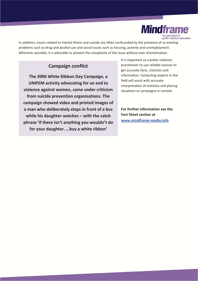

In addition, issues related to mental illness and suicide are often confounded by the presence of co-existing problems such as drug and alcohol use and social issues such as housing, poverty and unemployment. Wherever possible, it is advisable to present the complexity of the issue without over dramatisation.

### **Campaign conflict**

**The 2006 White Ribbon Day Campaign, a UNIFEM activity advocating for an end to violence against women, came under criticism from suicide prevention organisations. The campaign showed video and printed images of a man who deliberately steps in front of a bus while his daughter watches – with the catch phrase 'if there isn't anything you wouldn't do for your daughter. …buy a white ribbon'** 

It is important as a public relations practitioner to use reliable sources to get accurate facts, statistics and information. Contacting experts in the field will assist with accurate interpretation of statistics and placing situations or campaigns in context.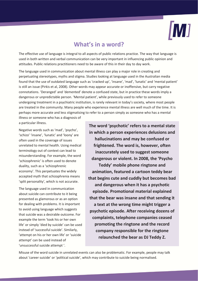

## **What's in a word?**

The effective use of language is integral to all aspects of public relations practice. The way that language is used in both written and verbal communication can be very important in influencing public opinion and attitudes. Public relations practitioners need to be aware of this in their day to day work.

The language used in communication about mental illness can play a major role in creating and perpetuating stereotypes, myths and stigma. Studies looking at language used in the Australian media found that the use of outdated language such as 'cracked up', 'insane', 'mad', 'lunatic' and 'mental patient' is still an issue (Pirkis et al, 2008). Other words may appear accurate or inoffensive, but carry negative connotations. 'Deranged' and 'demented' denote a confused state, but in practice these words imply a dangerous or unpredictable person. 'Mental patient', while previously used to refer to someone undergoing treatment in a psychiatric institution, is rarely relevant in today's society, where most people are treated in the community. Many people who experience mental illness are well much of the time. It is perhaps more accurate and less stigmatising to refer to a person simply as someone who has a mental illness or someone who has a diagnosis of

a particular illness.

Negative words such as 'mad', 'psycho', 'schizo' 'insane', 'lunatic' and 'loony' are often used in the coverage of issues unrelated to mental health. Using medical terminology out of context can lead to misunderstanding. For example, the word 'schizophrenic' is often used to denote duality, such as a 'schizophrenic economy'. This perpetuates the widely accepted myth that schizophrenia means 'split personality', which is not accurate.

The language used in communication about suicide can contribute to it being presented as glamorous or as an option for dealing with problems. It is important to avoid using language which suggests that suicide was a desirable outcome. For example the term 'took his or her own life' or simply 'died by suicide' can be used instead of 'successful suicide'. Similarly, 'attempt on his or her own life' or 'suicide attempt' can be used instead of 'unsuccessful suicide attempt '.

**The word 'psychotic' refers to a mental state in which a person experiences delusions and hallucinations and may be confused or frightened. The word is, however, often inaccurately used to suggest someone dangerous or violent. In 2008, the 'Psycho Teddy' mobile phone ringtone and animation, featured a cartoon teddy bear that begins cute and cuddly but becomes bad and dangerous when it has a psychotic episode. Promotional material explained that the bear was insane and that sending it a text at the wrong time might trigger a psychotic episode. After receiving dozens of complaints, telephone companies ceased promoting the ringtone and the record company responsible for the ringtone relaunched the bear as DJ Teddy Z.** 

Misuse of the word suicide in unrelated events can also be problematic. For example, people may talk about 'career suicide' or 'political suicide', which may contribute to suicide being normalised.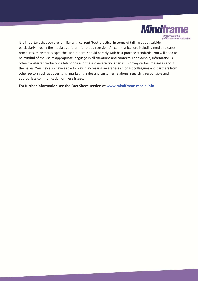

It is important that you are familiar with current 'best-practice' in terms of talking about suicide, particularly if using the media as a forum for that discussion. All communication, including media releases, brochures, ministerials, speeches and reports should comply with best practice standards. You will need to be mindful of the use of appropriate language in all situations and contexts. For example, information is often transferred verbally via telephone and these conversations can still convey certain messages about the issues. You may also have a role to play in increasing awareness amongst colleagues and partners from other sectors such as advertising, marketing, sales and customer relations, regarding responsible and appropriate communication of these issues.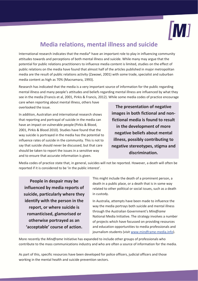

## **Media relations, mental illness and suicide**

International research indicates that the media\* have an important role to play in influencing community attitudes towards and perceptions of both mental illness and suicide. While many may argue that the potential for public relations practitioners to influence media content is limited, studies on the effect of public relations on the media have found that almost half of the articles published in major metropolitan media are the result of public relations activity (Zawawi, 2001) with some trade, specialist and suburban media content as high as 70% (Macnamara, 1993).

Research has indicated that the media is a very important source of information for the public regarding mental illness and many people's attitudes and beliefs regarding mental illness are influenced by what they see in the media (Francis et al, 2001, Pirkis & Francis, 2012). While some media codes of practice encourage

care when reporting about mental illness, others have overlooked the issue.

In addition, Australian and international research shows that reporting and portrayal of suicide in the media can have an impact on vulnerable people (Pirkis & Blood, 2001, Pirkis & Blood 2010). Studies have found that the way suicide is portrayed in the media has the potential to influence rates of suicide in the community. This is not to say that suicide should never be discussed, but that care should be taken to report the issues in a sensitive way and to ensure that accurate information is given.

**The presentation of negative images in both fictional and nonfictional media is found to result in the development of more negative beliefs about mental illness, possibly contributing to negative stereotypes, stigma and discrimination.** 

Media codes of practice state that, in general, suicides will not be reported. However, a death will often be reported if it is considered to be 'in the public interest'.

**People in despair may be influenced by media reports of suicide, particularly where they identify with the person in the report, or where suicide is romanticised, glamorised or otherwise portrayed as an 'acceptable' course of action.**

This might include the death of a prominent person, a death in a public place, or a death that is in some way related to other political or social issues, such as a death in custody.

In Australia, attempts have been made to influence the way the media portrays both suicide and mental illness through the Australian Government's *Mindframe* National Media Initiative. The strategy involves a number of projects which have focussed on providing resources and education opportunities to media professionals and journalism students (visit www.mindframe-media.info).

More recently the *Mindframe* Initiative has expanded to include other groups of professionals who contribute to the mass communications industry and who are often a source of information for the media.

As part of this, specific resources have been developed for police officers, judicial officers and those working in the mental health and suicide prevention sectors.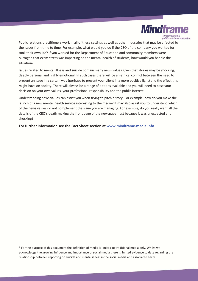

Public relations practitioners work in all of these settings as well as other industries that may be affected by the issues from time to time. For example, what would you do if the CEO of the company you worked for took their own life? If you worked for the Department of Education and community members were outraged that exam stress was impacting on the mental health of students, how would you handle the situation?

Issues related to mental illness and suicide contain many news values given that stories may be shocking, deeply personal and highly emotional. In such cases there will be an ethical conflict between the need to present an issue in a certain way (perhaps to present your client in a more positive light) and the effect this might have on society. There will always be a range of options available and you will need to base your decision on your own values, your professional responsibility and the public interest.

Understanding news values can assist you when trying to pitch a story. For example, how do you make the launch of a new mental health service interesting to the media? It may also assist you to understand which of the news values do not complement the issue you are managing. For example, do you really want all the details of the CEO's death making the front page of the newspaper just because it was unexpected and shocking?

**For further information see the Fact Sheet section at www.mindframe-media.info**

\* For the purpose of this document the definition of media is limited to traditional media only. Whilst we acknowledge the growing influence and importance of social media there is limited evidence to date regarding the relationship between reporting on suicide and mental illness in the social media and associated harm.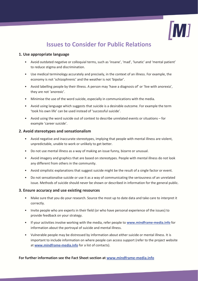

# **Issues to Consider for Public Relations**

### **1. Use appropriate language**

- Avoid outdated negative or colloquial terms, such as 'insane', 'mad', 'lunatic' and 'mental patient' to reduce stigma and discrimination.
- Use medical terminology accurately and precisely, in the context of an illness. For example, the economy is not 'schizophrenic' and the weather is not 'bipolar'.
- Avoid labelling people by their illness. A person may 'have a diagnosis of' or 'live with anorexia', they are not 'anorexic'.
- Minimise the use of the word suicide, especially in communications with the media.
- Avoid using language which suggests that suicide is a desirable outcome. For example the term 'took his own life' can be used instead of 'successful suicide'.
- Avoid using the word suicide out of context to describe unrelated events or situations for example 'career suicide'.

### **2. Avoid stereotypes and sensationalism**

- Avoid negative and inaccurate stereotypes, implying that people with mental illness are violent, unpredictable, unable to work or unlikely to get better.
- Do not use mental illness as a way of making an issue funny, bizarre or unusual.
- Avoid imagery and graphics that are based on stereotypes. People with mental illness do not look any different from others in the community.
- Avoid simplistic explanations that suggest suicide might be the result of a single factor or event.
- Do not sensationalise suicide or use it as a way of communicating the seriousness of an unrelated issue. Methods of suicide should never be shown or described in information for the general public.

#### **3. Ensure accuracy and use existing resources**

- Make sure that you do your research. Source the most up to date data and take care to interpret it correctly.
- Invite people who are experts in their field (or who have personal experience of the issues) to provide feedback on your strategy.
- If your activities involve working with the media, refer people to **www.mindframe-media.info** for information about the portrayal of suicide and mental illness.
- Vulnerable people may be distressed by information about either suicide or mental illness. It is important to include information on where people can access support (refer to the project website at **www.mindframe-media.info** for a list of contacts).